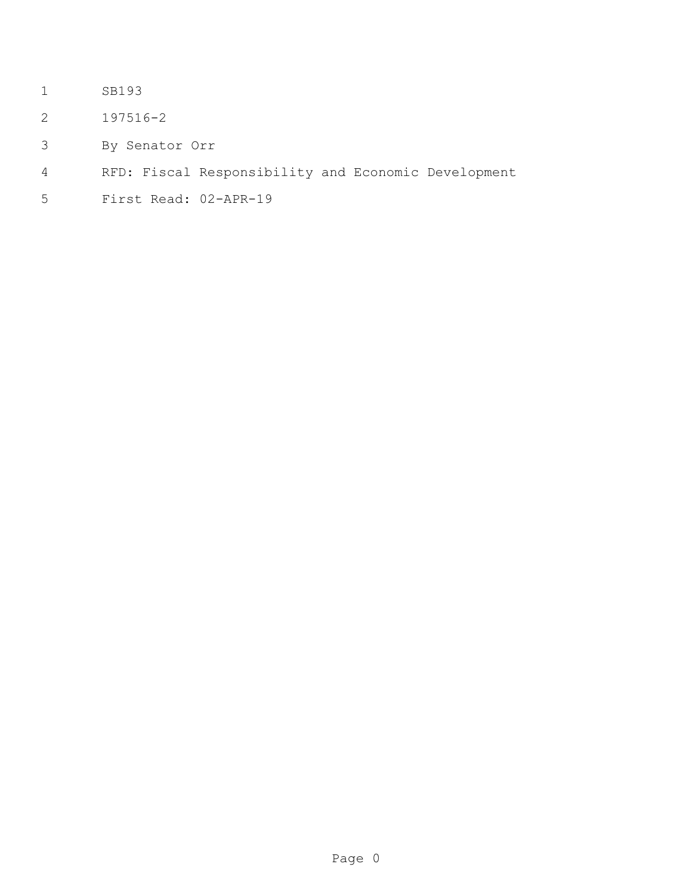- SB193
- 197516-2
- By Senator Orr
- RFD: Fiscal Responsibility and Economic Development
- First Read: 02-APR-19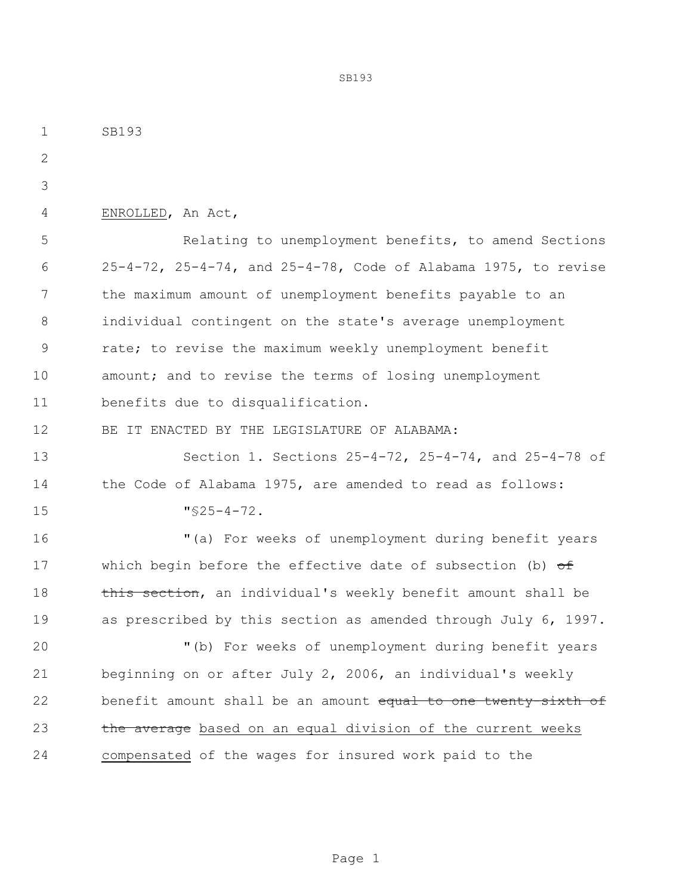SB193 ENROLLED, An Act, Relating to unemployment benefits, to amend Sections 25-4-72, 25-4-74, and 25-4-78, Code of Alabama 1975, to revise the maximum amount of unemployment benefits payable to an individual contingent on the state's average unemployment rate; to revise the maximum weekly unemployment benefit amount; and to revise the terms of losing unemployment benefits due to disqualification. BE IT ENACTED BY THE LEGISLATURE OF ALABAMA: Section 1. Sections 25-4-72, 25-4-74, and 25-4-78 of the Code of Alabama 1975, are amended to read as follows: "§25-4-72. "(a) For weeks of unemployment during benefit years 17 which begin before the effective date of subsection (b) of 18 this section, an individual's weekly benefit amount shall be as prescribed by this section as amended through July 6, 1997. "(b) For weeks of unemployment during benefit years beginning on or after July 2, 2006, an individual's weekly 22 benefit amount shall be an amount equal to one twenty-sixth of 23 the average based on an equal division of the current weeks compensated of the wages for insured work paid to the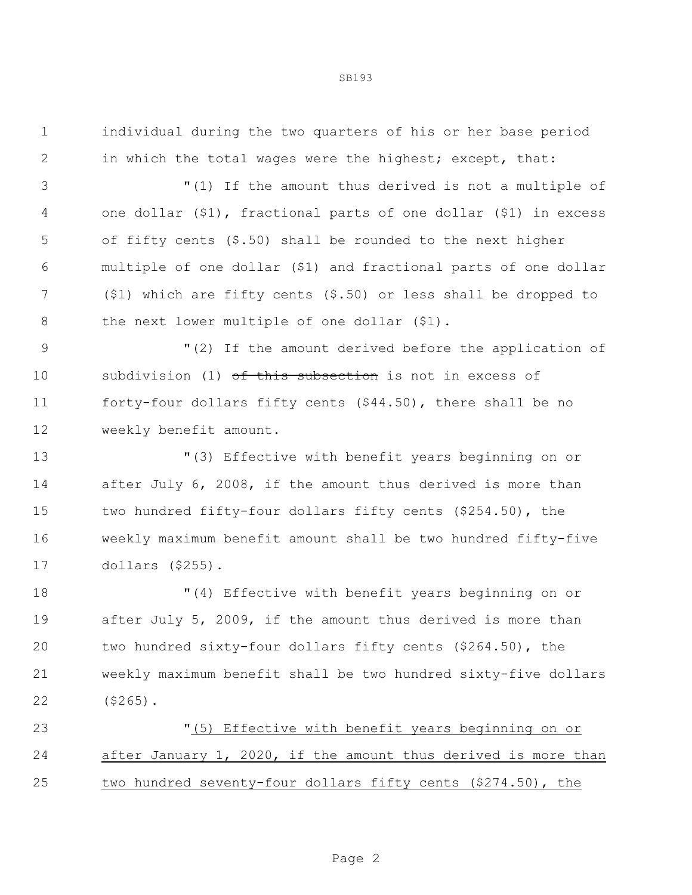SB193

 individual during the two quarters of his or her base period in which the total wages were the highest; except, that:

 "(1) If the amount thus derived is not a multiple of one dollar (\$1), fractional parts of one dollar (\$1) in excess of fifty cents (\$.50) shall be rounded to the next higher multiple of one dollar (\$1) and fractional parts of one dollar (\$1) which are fifty cents (\$.50) or less shall be dropped to 8 the next lower multiple of one dollar (\$1).

 "(2) If the amount derived before the application of 10 subdivision (1) of this subsection is not in excess of forty-four dollars fifty cents (\$44.50), there shall be no weekly benefit amount.

 "(3) Effective with benefit years beginning on or after July 6, 2008, if the amount thus derived is more than two hundred fifty-four dollars fifty cents (\$254.50), the weekly maximum benefit amount shall be two hundred fifty-five dollars (\$255).

 "(4) Effective with benefit years beginning on or 19 after July 5, 2009, if the amount thus derived is more than two hundred sixty-four dollars fifty cents (\$264.50), the weekly maximum benefit shall be two hundred sixty-five dollars (\$265).

 "(5) Effective with benefit years beginning on or after January 1, 2020, if the amount thus derived is more than two hundred seventy-four dollars fifty cents (\$274.50), the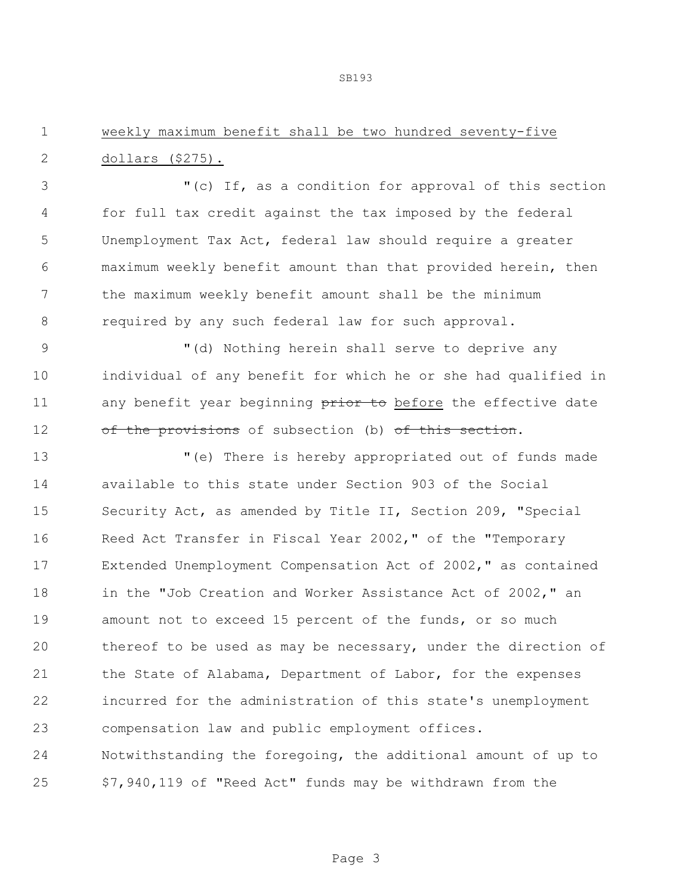SB193

## weekly maximum benefit shall be two hundred seventy-five dollars (\$275).

 "(c) If, as a condition for approval of this section for full tax credit against the tax imposed by the federal Unemployment Tax Act, federal law should require a greater maximum weekly benefit amount than that provided herein, then the maximum weekly benefit amount shall be the minimum required by any such federal law for such approval.

 "(d) Nothing herein shall serve to deprive any individual of any benefit for which he or she had qualified in 11 any benefit year beginning prior to before the effective date 12 of the provisions of subsection (b) of this section.

 "(e) There is hereby appropriated out of funds made available to this state under Section 903 of the Social Security Act, as amended by Title II, Section 209, "Special Reed Act Transfer in Fiscal Year 2002," of the "Temporary Extended Unemployment Compensation Act of 2002," as contained in the "Job Creation and Worker Assistance Act of 2002," an amount not to exceed 15 percent of the funds, or so much thereof to be used as may be necessary, under the direction of the State of Alabama, Department of Labor, for the expenses incurred for the administration of this state's unemployment compensation law and public employment offices. Notwithstanding the foregoing, the additional amount of up to \$7,940,119 of "Reed Act" funds may be withdrawn from the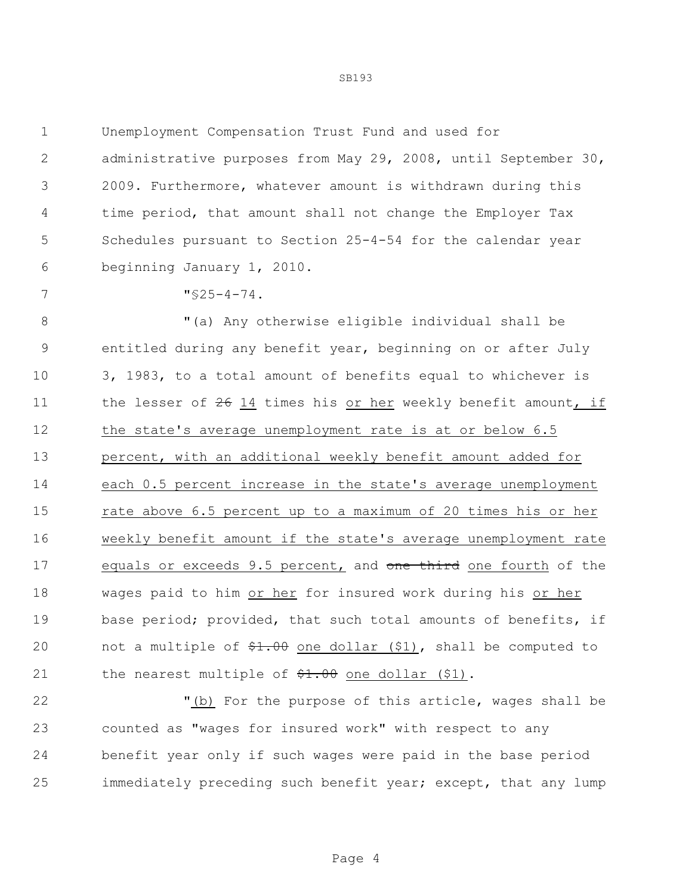Unemployment Compensation Trust Fund and used for administrative purposes from May 29, 2008, until September 30, 2009. Furthermore, whatever amount is withdrawn during this time period, that amount shall not change the Employer Tax Schedules pursuant to Section 25-4-54 for the calendar year beginning January 1, 2010.

 $7 \times 25 - 4 - 74.$ 

 "(a) Any otherwise eligible individual shall be entitled during any benefit year, beginning on or after July 3, 1983, to a total amount of benefits equal to whichever is 11 the lesser of 14 times his or her weekly benefit amount, if the state's average unemployment rate is at or below 6.5 percent, with an additional weekly benefit amount added for each 0.5 percent increase in the state's average unemployment rate above 6.5 percent up to a maximum of 20 times his or her weekly benefit amount if the state's average unemployment rate 17 equals or exceeds 9.5 percent, and one third one fourth of the wages paid to him or her for insured work during his or her 19 base period; provided, that such total amounts of benefits, if 20 not a multiple of  $\frac{20}{71.00}$  one dollar (\$1), shall be computed to 21 the nearest multiple of  $\frac{1}{21}$ .  $\frac{1}{20}$  one dollar (\$1).

22 The M<sub>(b)</sub> For the purpose of this article, wages shall be counted as "wages for insured work" with respect to any benefit year only if such wages were paid in the base period immediately preceding such benefit year; except, that any lump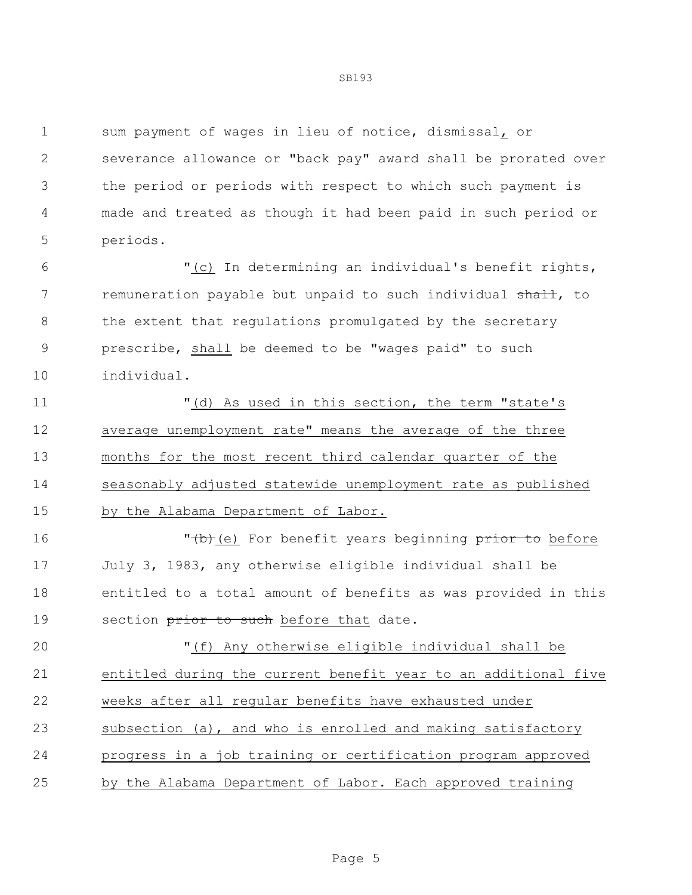sum payment of wages in lieu of notice, dismissal, or severance allowance or "back pay" award shall be prorated over the period or periods with respect to which such payment is made and treated as though it had been paid in such period or periods.

 "(c) In determining an individual's benefit rights, 7 remuneration payable but unpaid to such individual shall, to 8 the extent that regulations promulgated by the secretary prescribe, shall be deemed to be "wages paid" to such individual.

 "(d) As used in this section, the term "state's average unemployment rate" means the average of the three months for the most recent third calendar quarter of the seasonably adjusted statewide unemployment rate as published by the Alabama Department of Labor.

16 The Moscon Character of the Tor benefit years beginning prior to before July 3, 1983, any otherwise eligible individual shall be entitled to a total amount of benefits as was provided in this 19 section prior to such before that date.

 "(f) Any otherwise eligible individual shall be entitled during the current benefit year to an additional five weeks after all regular benefits have exhausted under subsection (a), and who is enrolled and making satisfactory progress in a job training or certification program approved by the Alabama Department of Labor. Each approved training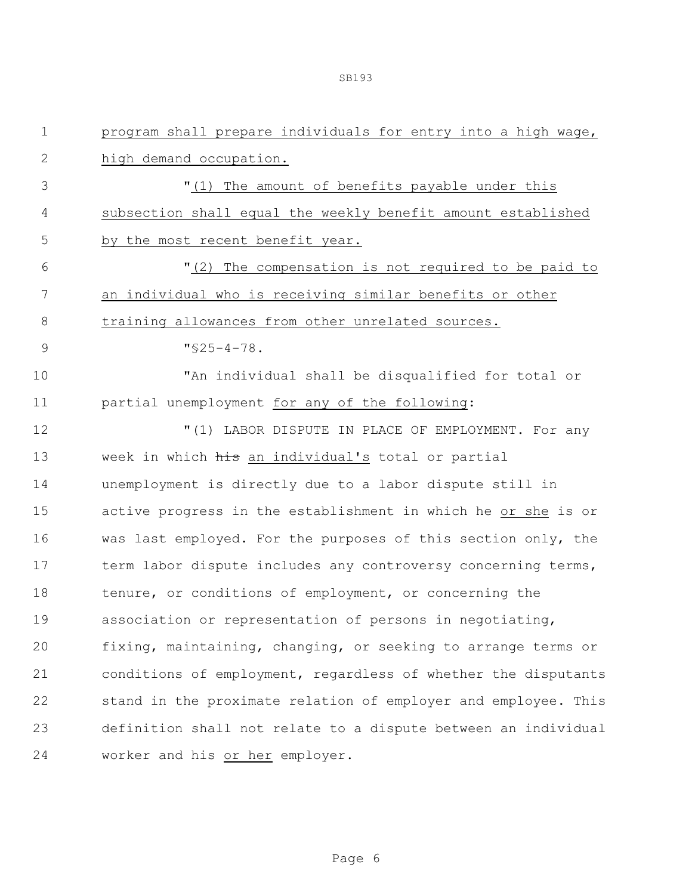| 1             | program shall prepare individuals for entry into a high wage,  |
|---------------|----------------------------------------------------------------|
| 2             | high demand occupation.                                        |
| 3             | "(1) The amount of benefits payable under this                 |
| 4             | subsection shall equal the weekly benefit amount established   |
| 5             | by the most recent benefit year.                               |
| 6             | "(2) The compensation is not required to be paid to            |
| 7             | an individual who is receiving similar benefits or other       |
| 8             | training allowances from other unrelated sources.              |
| $\mathcal{G}$ | $\sqrt{525-4-78}$ .                                            |
| 10            | "An individual shall be disqualified for total or              |
| 11            | partial unemployment for any of the following:                 |
| 12            | "(1) LABOR DISPUTE IN PLACE OF EMPLOYMENT. For any             |
| 13            | week in which his an individual's total or partial             |
| 14            | unemployment is directly due to a labor dispute still in       |
| 15            | active progress in the establishment in which he or she is or  |
| 16            | was last employed. For the purposes of this section only, the  |
| 17            | term labor dispute includes any controversy concerning terms,  |
| 18            | tenure, or conditions of employment, or concerning the         |
| 19            | association or representation of persons in negotiating,       |
| 20            | fixing, maintaining, changing, or seeking to arrange terms or  |
| 21            | conditions of employment, regardless of whether the disputants |
| 22            | stand in the proximate relation of employer and employee. This |
| 23            | definition shall not relate to a dispute between an individual |
| 24            | worker and his or her employer.                                |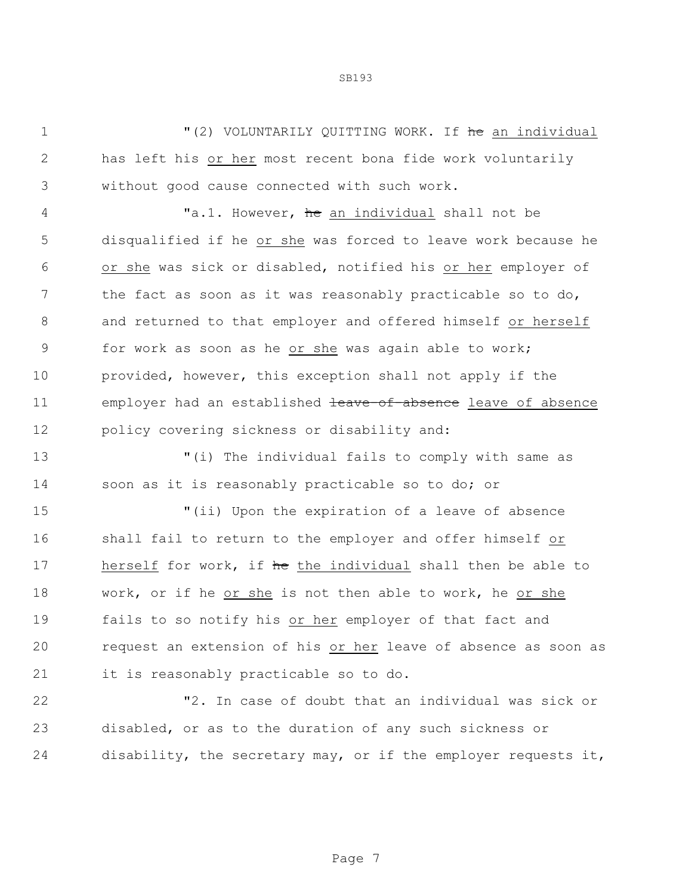1 The state of the U.S. voluntarily outfind work. If the an individual has left his or her most recent bona fide work voluntarily without good cause connected with such work.

4 Ta.1. However, he an individual shall not be disqualified if he or she was forced to leave work because he or she was sick or disabled, notified his or her employer of the fact as soon as it was reasonably practicable so to do, and returned to that employer and offered himself or herself for work as soon as he or she was again able to work; provided, however, this exception shall not apply if the 11 employer had an established teave-of-absence leave of absence policy covering sickness or disability and:

 "(i) The individual fails to comply with same as soon as it is reasonably practicable so to do; or

 "(ii) Upon the expiration of a leave of absence shall fail to return to the employer and offer himself or 17 herself for work, if he the individual shall then be able to work, or if he or she is not then able to work, he or she fails to so notify his or her employer of that fact and request an extension of his or her leave of absence as soon as it is reasonably practicable so to do.

 "2. In case of doubt that an individual was sick or disabled, or as to the duration of any such sickness or disability, the secretary may, or if the employer requests it,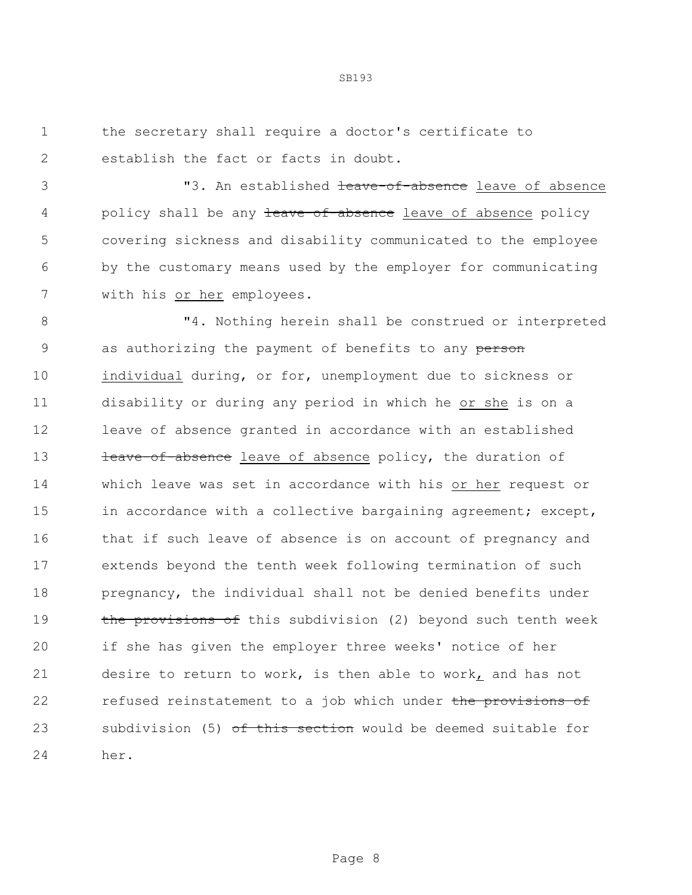the secretary shall require a doctor's certificate to establish the fact or facts in doubt.

3 T2. An established the state-of-absence leave of absence 4 policy shall be any teave-of-absence leave of absence policy covering sickness and disability communicated to the employee by the customary means used by the employer for communicating with his or her employees.

SB193

 "4. Nothing herein shall be construed or interpreted 9 as authorizing the payment of benefits to any person individual during, or for, unemployment due to sickness or disability or during any period in which he or she is on a leave of absence granted in accordance with an established **leave-of-absence** leave of absence policy, the duration of which leave was set in accordance with his or her request or in accordance with a collective bargaining agreement; except, 16 that if such leave of absence is on account of pregnancy and extends beyond the tenth week following termination of such pregnancy, the individual shall not be denied benefits under **the provisions of** this subdivision (2) beyond such tenth week if she has given the employer three weeks' notice of her desire to return to work, is then able to work, and has not 22 refused reinstatement to a job which under the provisions of 23 subdivision (5) of this section would be deemed suitable for her.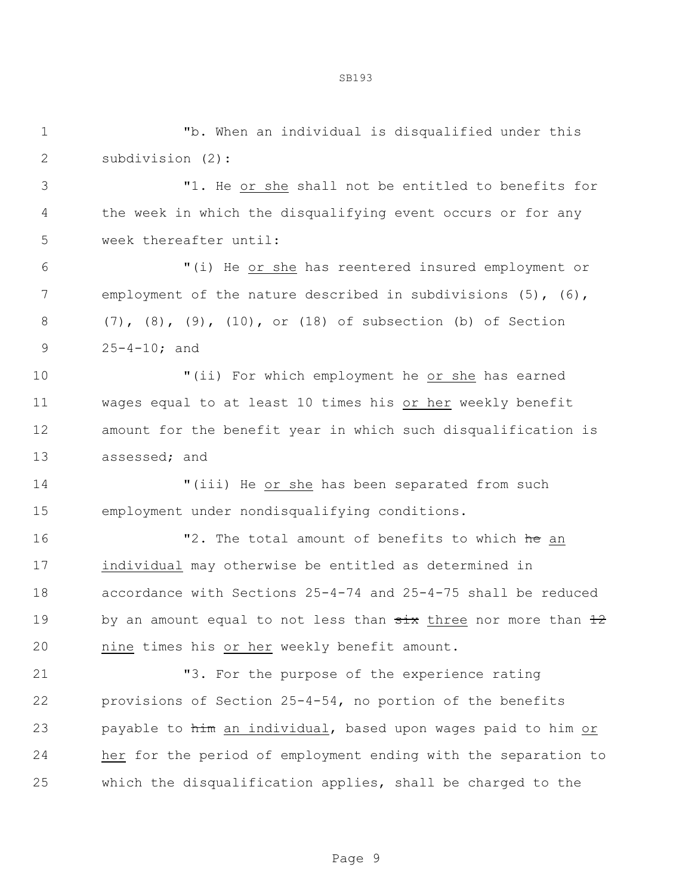"b. When an individual is disqualified under this subdivision (2): "1. He or she shall not be entitled to benefits for the week in which the disqualifying event occurs or for any week thereafter until: "(i) He or she has reentered insured employment or employment of the nature described in subdivisions (5), (6), (7), (8), (9), (10), or (18) of subsection (b) of Section 25-4-10; and "(ii) For which employment he or she has earned wages equal to at least 10 times his or her weekly benefit amount for the benefit year in which such disqualification is assessed; and "(iii) He or she has been separated from such employment under nondisqualifying conditions. 16 The total amount of benefits to which he an individual may otherwise be entitled as determined in accordance with Sections 25-4-74 and 25-4-75 shall be reduced 19 by an amount equal to not less than  $\frac{1}{x}$  three nor more than  $\frac{12}{x}$  nine times his or her weekly benefit amount. "3. For the purpose of the experience rating provisions of Section 25-4-54, no portion of the benefits 23 payable to him an individual, based upon wages paid to him or her for the period of employment ending with the separation to which the disqualification applies, shall be charged to the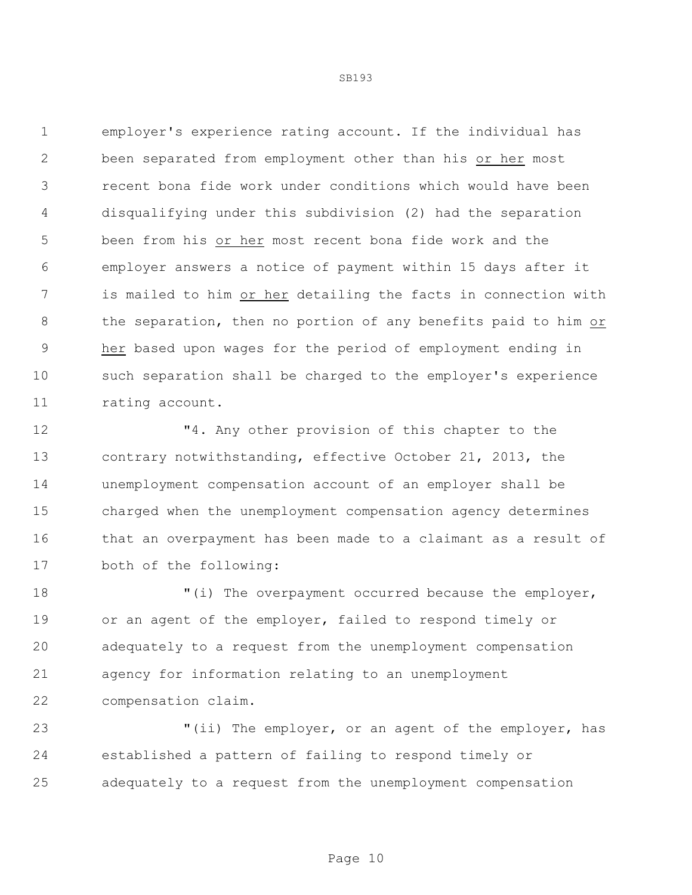employer's experience rating account. If the individual has been separated from employment other than his or her most recent bona fide work under conditions which would have been disqualifying under this subdivision (2) had the separation been from his or her most recent bona fide work and the employer answers a notice of payment within 15 days after it is mailed to him or her detailing the facts in connection with the separation, then no portion of any benefits paid to him or her based upon wages for the period of employment ending in such separation shall be charged to the employer's experience 11 rating account.

 "4. Any other provision of this chapter to the contrary notwithstanding, effective October 21, 2013, the unemployment compensation account of an employer shall be charged when the unemployment compensation agency determines that an overpayment has been made to a claimant as a result of both of the following:

 $\blacksquare$  (i) The overpayment occurred because the employer, or an agent of the employer, failed to respond timely or adequately to a request from the unemployment compensation agency for information relating to an unemployment compensation claim.

 "(ii) The employer, or an agent of the employer, has established a pattern of failing to respond timely or adequately to a request from the unemployment compensation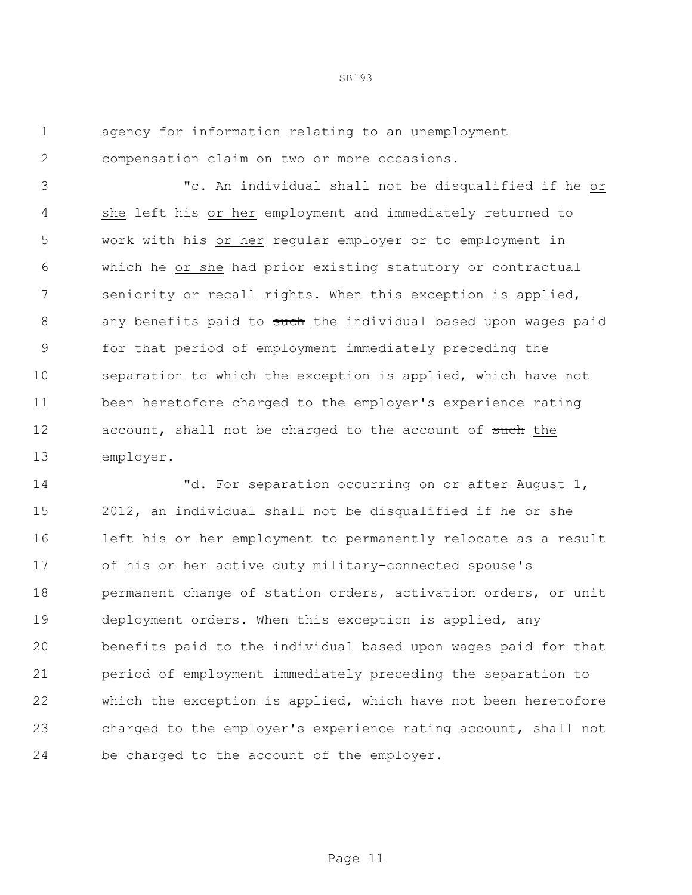agency for information relating to an unemployment compensation claim on two or more occasions.

 "c. An individual shall not be disqualified if he or she left his or her employment and immediately returned to work with his or her regular employer or to employment in which he or she had prior existing statutory or contractual seniority or recall rights. When this exception is applied, 8 any benefits paid to such the individual based upon wages paid for that period of employment immediately preceding the separation to which the exception is applied, which have not been heretofore charged to the employer's experience rating 12 account, shall not be charged to the account of such the employer.

14 "d. For separation occurring on or after August 1, 2012, an individual shall not be disqualified if he or she left his or her employment to permanently relocate as a result of his or her active duty military-connected spouse's permanent change of station orders, activation orders, or unit deployment orders. When this exception is applied, any benefits paid to the individual based upon wages paid for that period of employment immediately preceding the separation to which the exception is applied, which have not been heretofore charged to the employer's experience rating account, shall not be charged to the account of the employer.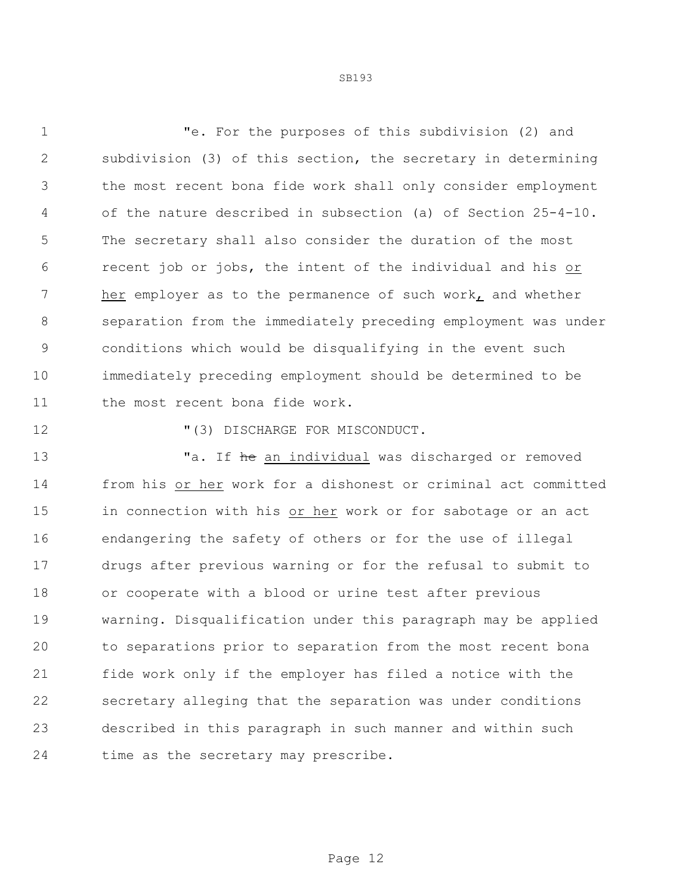"e. For the purposes of this subdivision (2) and subdivision (3) of this section, the secretary in determining the most recent bona fide work shall only consider employment of the nature described in subsection (a) of Section 25-4-10. The secretary shall also consider the duration of the most recent job or jobs, the intent of the individual and his or her employer as to the permanence of such work, and whether separation from the immediately preceding employment was under conditions which would be disqualifying in the event such immediately preceding employment should be determined to be the most recent bona fide work.

12  $(3)$  DISCHARGE FOR MISCONDUCT.

13 The an individual was discharged or removed from his or her work for a dishonest or criminal act committed in connection with his or her work or for sabotage or an act endangering the safety of others or for the use of illegal drugs after previous warning or for the refusal to submit to or cooperate with a blood or urine test after previous warning. Disqualification under this paragraph may be applied to separations prior to separation from the most recent bona fide work only if the employer has filed a notice with the secretary alleging that the separation was under conditions described in this paragraph in such manner and within such 24 time as the secretary may prescribe.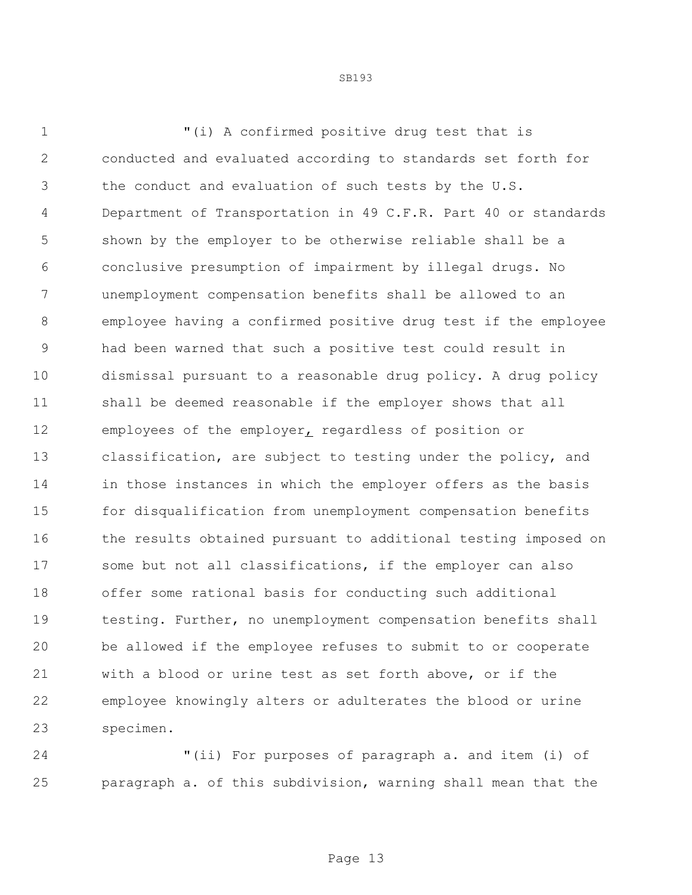$''(i)$  A confirmed positive drug test that is conducted and evaluated according to standards set forth for the conduct and evaluation of such tests by the U.S. Department of Transportation in 49 C.F.R. Part 40 or standards shown by the employer to be otherwise reliable shall be a conclusive presumption of impairment by illegal drugs. No unemployment compensation benefits shall be allowed to an employee having a confirmed positive drug test if the employee had been warned that such a positive test could result in dismissal pursuant to a reasonable drug policy. A drug policy shall be deemed reasonable if the employer shows that all employees of the employer, regardless of position or classification, are subject to testing under the policy, and in those instances in which the employer offers as the basis for disqualification from unemployment compensation benefits the results obtained pursuant to additional testing imposed on some but not all classifications, if the employer can also offer some rational basis for conducting such additional testing. Further, no unemployment compensation benefits shall be allowed if the employee refuses to submit to or cooperate with a blood or urine test as set forth above, or if the employee knowingly alters or adulterates the blood or urine specimen.

 "(ii) For purposes of paragraph a. and item (i) of paragraph a. of this subdivision, warning shall mean that the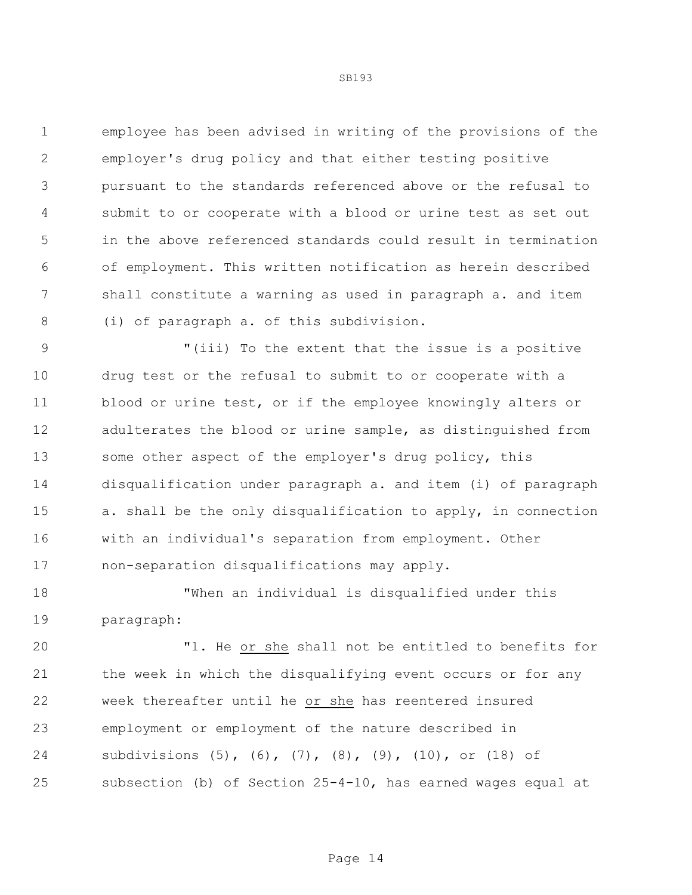employee has been advised in writing of the provisions of the employer's drug policy and that either testing positive pursuant to the standards referenced above or the refusal to submit to or cooperate with a blood or urine test as set out in the above referenced standards could result in termination of employment. This written notification as herein described shall constitute a warning as used in paragraph a. and item (i) of paragraph a. of this subdivision.

 "(iii) To the extent that the issue is a positive drug test or the refusal to submit to or cooperate with a blood or urine test, or if the employee knowingly alters or adulterates the blood or urine sample, as distinguished from 13 some other aspect of the employer's drug policy, this disqualification under paragraph a. and item (i) of paragraph a. shall be the only disqualification to apply, in connection with an individual's separation from employment. Other non-separation disqualifications may apply.

 "When an individual is disqualified under this paragraph:

 "1. He or she shall not be entitled to benefits for the week in which the disqualifying event occurs or for any week thereafter until he or she has reentered insured employment or employment of the nature described in subdivisions (5), (6), (7), (8), (9), (10), or (18) of subsection (b) of Section 25-4-10, has earned wages equal at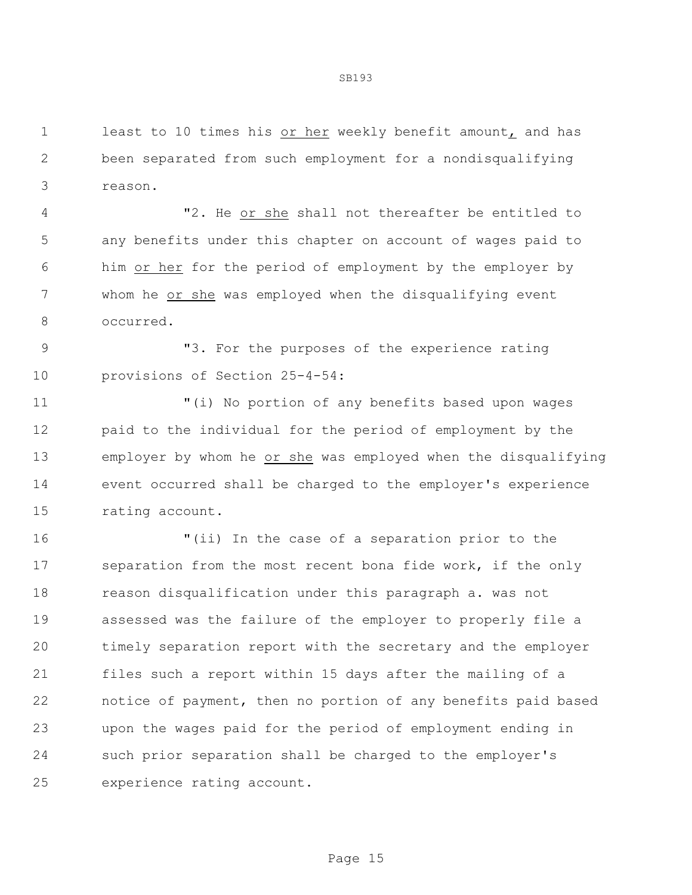least to 10 times his or her weekly benefit amount, and has been separated from such employment for a nondisqualifying reason.

 "2. He or she shall not thereafter be entitled to any benefits under this chapter on account of wages paid to him or her for the period of employment by the employer by whom he or she was employed when the disqualifying event occurred.

 "3. For the purposes of the experience rating provisions of Section 25-4-54:

 "(i) No portion of any benefits based upon wages paid to the individual for the period of employment by the employer by whom he or she was employed when the disqualifying event occurred shall be charged to the employer's experience rating account.

 "(ii) In the case of a separation prior to the 17 separation from the most recent bona fide work, if the only reason disqualification under this paragraph a. was not assessed was the failure of the employer to properly file a timely separation report with the secretary and the employer files such a report within 15 days after the mailing of a notice of payment, then no portion of any benefits paid based upon the wages paid for the period of employment ending in such prior separation shall be charged to the employer's experience rating account.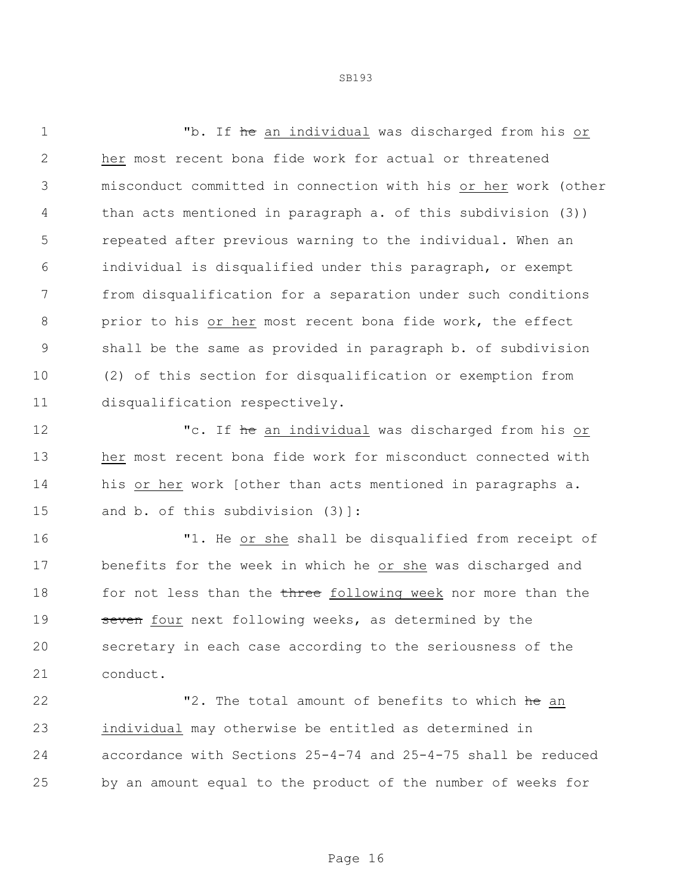1 The an individual was discharged from his or her most recent bona fide work for actual or threatened misconduct committed in connection with his or her work (other than acts mentioned in paragraph a. of this subdivision (3)) repeated after previous warning to the individual. When an individual is disqualified under this paragraph, or exempt from disqualification for a separation under such conditions prior to his or her most recent bona fide work, the effect shall be the same as provided in paragraph b. of subdivision (2) of this section for disqualification or exemption from disqualification respectively.

12 The an individual was discharged from his or her most recent bona fide work for misconduct connected with his or her work [other than acts mentioned in paragraphs a. and b. of this subdivision (3)]:

 "1. He or she shall be disqualified from receipt of benefits for the week in which he or she was discharged and 18 for not less than the three following week nor more than the 19 seven four next following weeks, as determined by the secretary in each case according to the seriousness of the conduct.

22 The total amount of benefits to which he an individual may otherwise be entitled as determined in accordance with Sections 25-4-74 and 25-4-75 shall be reduced by an amount equal to the product of the number of weeks for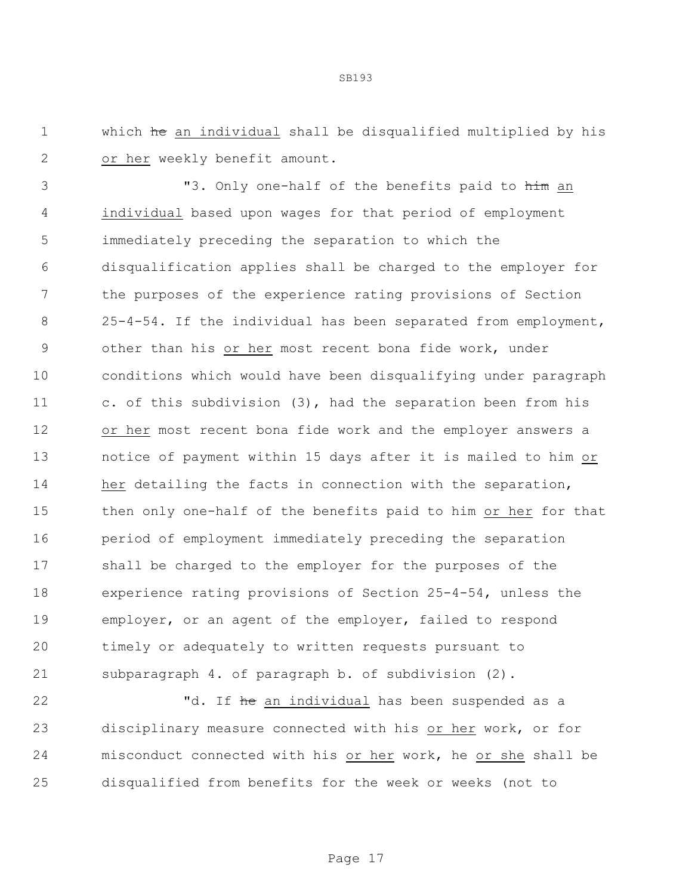which he an individual shall be disqualified multiplied by his or her weekly benefit amount.

3 T3. Only one-half of the benefits paid to him an individual based upon wages for that period of employment immediately preceding the separation to which the disqualification applies shall be charged to the employer for the purposes of the experience rating provisions of Section 25-4-54. If the individual has been separated from employment, other than his or her most recent bona fide work, under conditions which would have been disqualifying under paragraph c. of this subdivision (3), had the separation been from his or her most recent bona fide work and the employer answers a notice of payment within 15 days after it is mailed to him or 14 her detailing the facts in connection with the separation, then only one-half of the benefits paid to him or her for that period of employment immediately preceding the separation shall be charged to the employer for the purposes of the experience rating provisions of Section 25-4-54, unless the employer, or an agent of the employer, failed to respond timely or adequately to written requests pursuant to subparagraph 4. of paragraph b. of subdivision (2).

22 The an individual has been suspended as a disciplinary measure connected with his or her work, or for misconduct connected with his or her work, he or she shall be disqualified from benefits for the week or weeks (not to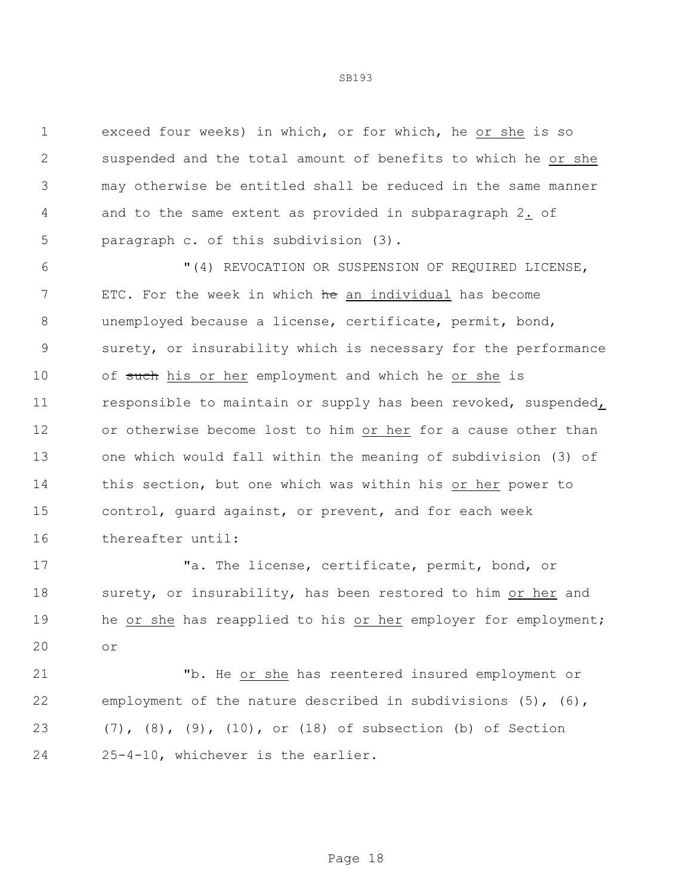exceed four weeks) in which, or for which, he or she is so suspended and the total amount of benefits to which he or she may otherwise be entitled shall be reduced in the same manner and to the same extent as provided in subparagraph 2. of paragraph c. of this subdivision (3).

 "(4) REVOCATION OR SUSPENSION OF REQUIRED LICENSE, 7 ETC. For the week in which he an individual has become unemployed because a license, certificate, permit, bond, surety, or insurability which is necessary for the performance 10 of such his or her employment and which he or she is 11 responsible to maintain or supply has been revoked, suspended, or otherwise become lost to him or her for a cause other than one which would fall within the meaning of subdivision (3) of this section, but one which was within his or her power to control, guard against, or prevent, and for each week thereafter until:

 "a. The license, certificate, permit, bond, or 18 surety, or insurability, has been restored to him or her and 19 he or she has reapplied to his or her employer for employment; or

 "b. He or she has reentered insured employment or employment of the nature described in subdivisions (5), (6), (7), (8), (9), (10), or (18) of subsection (b) of Section 25-4-10, whichever is the earlier.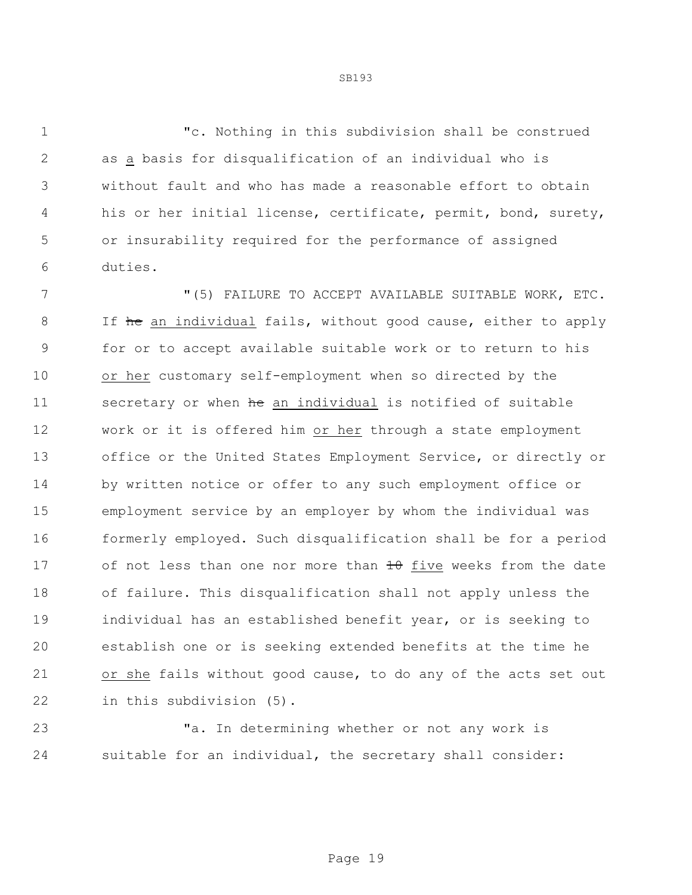"c. Nothing in this subdivision shall be construed as a basis for disqualification of an individual who is without fault and who has made a reasonable effort to obtain his or her initial license, certificate, permit, bond, surety, or insurability required for the performance of assigned duties.

 "(5) FAILURE TO ACCEPT AVAILABLE SUITABLE WORK, ETC. 8 If the an individual fails, without good cause, either to apply for or to accept available suitable work or to return to his or her customary self-employment when so directed by the 11 secretary or when he an individual is notified of suitable work or it is offered him or her through a state employment office or the United States Employment Service, or directly or by written notice or offer to any such employment office or employment service by an employer by whom the individual was formerly employed. Such disqualification shall be for a period 17 of not less than one nor more than five weeks from the date of failure. This disqualification shall not apply unless the individual has an established benefit year, or is seeking to establish one or is seeking extended benefits at the time he or she fails without good cause, to do any of the acts set out in this subdivision (5).

 "a. In determining whether or not any work is suitable for an individual, the secretary shall consider: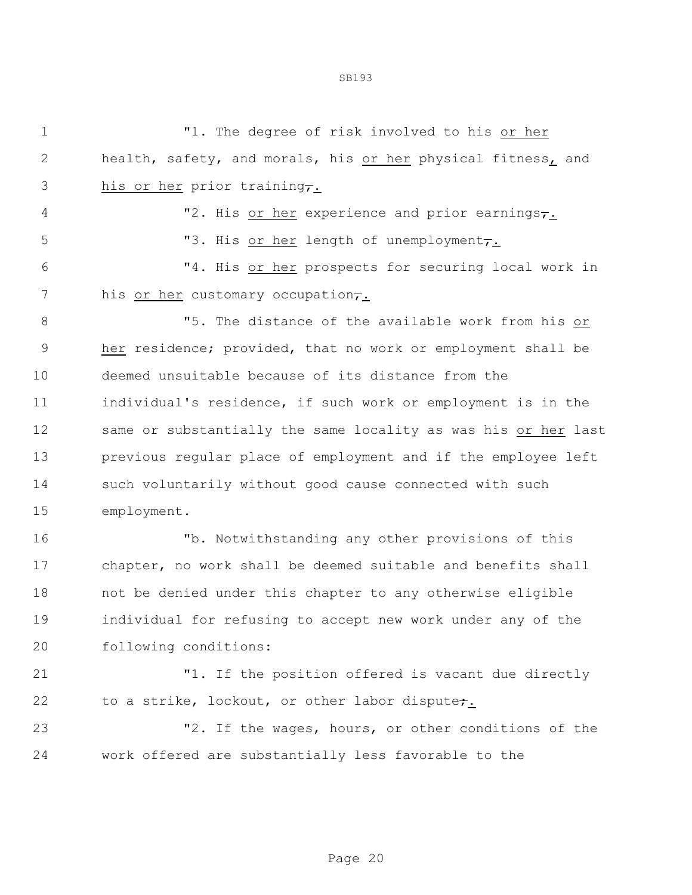| 1  | "1. The degree of risk involved to his or her                  |
|----|----------------------------------------------------------------|
| 2  | health, safety, and morals, his or her physical fitness, and   |
| 3  | his or her prior training,.                                    |
| 4  | "2. His or her experience and prior earnings,.                 |
| 5  | "3. His or her length of unemployment,.                        |
| 6  | "4. His or her prospects for securing local work in            |
| 7  | his or her customary occupation $\tau$ .                       |
| 8  | "5. The distance of the available work from his or             |
| 9  | her residence; provided, that no work or employment shall be   |
| 10 | deemed unsuitable because of its distance from the             |
| 11 | individual's residence, if such work or employment is in the   |
| 12 | same or substantially the same locality as was his or her last |
| 13 | previous regular place of employment and if the employee left  |
| 14 | such voluntarily without good cause connected with such        |
| 15 | employment.                                                    |
| 16 | "b. Notwithstanding any other provisions of this               |
| 17 | chapter, no work shall be deemed suitable and benefits shall   |
| 18 | not be denied under this chapter to any otherwise eligible     |
| 19 | individual for refusing to accept new work under any of the    |
| 20 | following conditions:                                          |
| 21 | "1. If the position offered is vacant due directly             |
| 22 | to a strike, lockout, or other labor dispute,.                 |

SB193

 "2. If the wages, hours, or other conditions of the work offered are substantially less favorable to the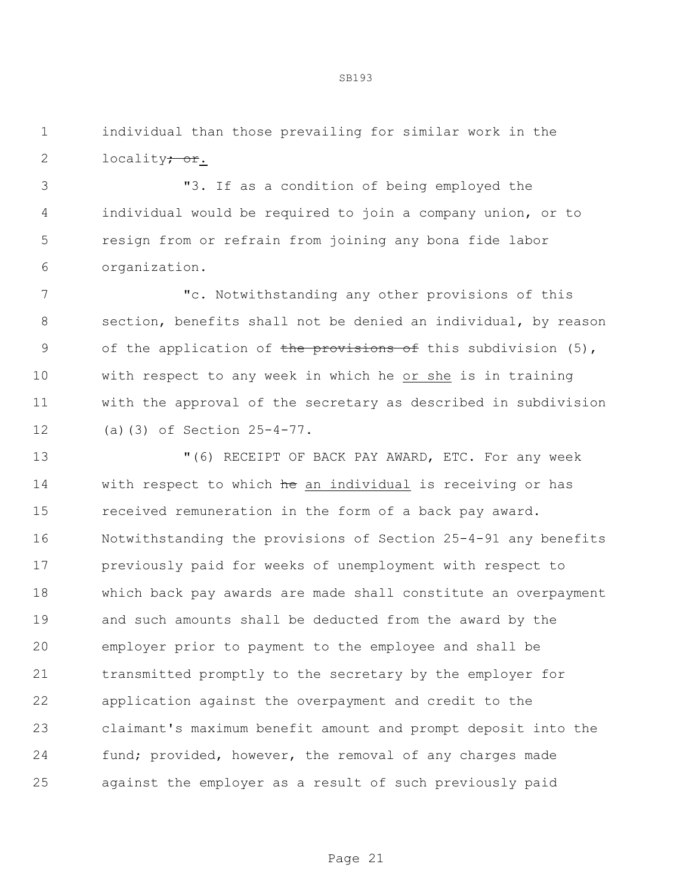individual than those prevailing for similar work in the 2 locality<del>; or</del>.

 "3. If as a condition of being employed the individual would be required to join a company union, or to resign from or refrain from joining any bona fide labor organization.

 "c. Notwithstanding any other provisions of this section, benefits shall not be denied an individual, by reason 9 of the application of the provisions of this subdivision (5), with respect to any week in which he or she is in training with the approval of the secretary as described in subdivision (a)(3) of Section 25-4-77.

 "(6) RECEIPT OF BACK PAY AWARD, ETC. For any week 14 with respect to which he an individual is receiving or has received remuneration in the form of a back pay award. Notwithstanding the provisions of Section 25-4-91 any benefits previously paid for weeks of unemployment with respect to which back pay awards are made shall constitute an overpayment and such amounts shall be deducted from the award by the employer prior to payment to the employee and shall be transmitted promptly to the secretary by the employer for application against the overpayment and credit to the claimant's maximum benefit amount and prompt deposit into the fund; provided, however, the removal of any charges made against the employer as a result of such previously paid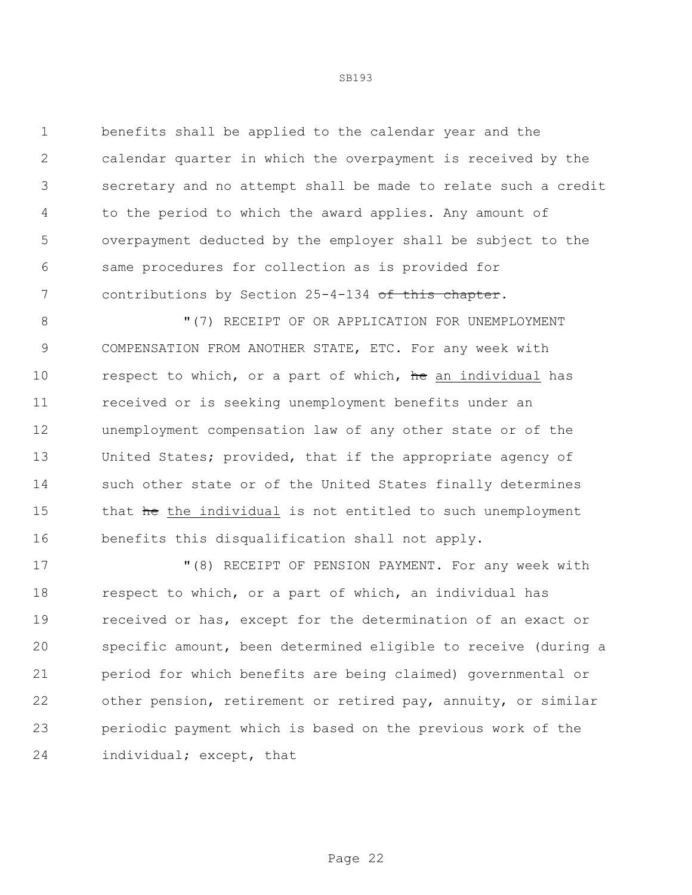benefits shall be applied to the calendar year and the calendar quarter in which the overpayment is received by the secretary and no attempt shall be made to relate such a credit to the period to which the award applies. Any amount of overpayment deducted by the employer shall be subject to the same procedures for collection as is provided for 7 contributions by Section 25-4-134 of this chapter.

 $(7)$  RECEIPT OF OR APPLICATION FOR UNEMPLOYMENT COMPENSATION FROM ANOTHER STATE, ETC. For any week with 10 respect to which, or a part of which, he an individual has received or is seeking unemployment benefits under an unemployment compensation law of any other state or of the United States; provided, that if the appropriate agency of such other state or of the United States finally determines 15 that he the individual is not entitled to such unemployment benefits this disqualification shall not apply.

 $(8)$  RECEIPT OF PENSION PAYMENT. For any week with respect to which, or a part of which, an individual has received or has, except for the determination of an exact or specific amount, been determined eligible to receive (during a period for which benefits are being claimed) governmental or other pension, retirement or retired pay, annuity, or similar periodic payment which is based on the previous work of the individual; except, that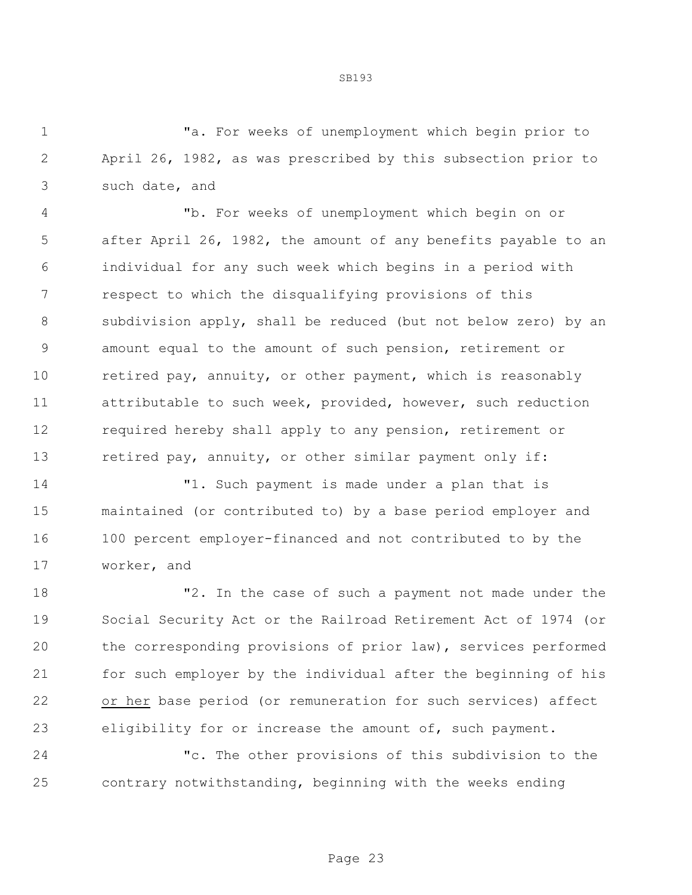"a. For weeks of unemployment which begin prior to April 26, 1982, as was prescribed by this subsection prior to such date, and

 "b. For weeks of unemployment which begin on or after April 26, 1982, the amount of any benefits payable to an individual for any such week which begins in a period with respect to which the disqualifying provisions of this subdivision apply, shall be reduced (but not below zero) by an amount equal to the amount of such pension, retirement or retired pay, annuity, or other payment, which is reasonably attributable to such week, provided, however, such reduction required hereby shall apply to any pension, retirement or 13 retired pay, annuity, or other similar payment only if:

 "1. Such payment is made under a plan that is maintained (or contributed to) by a base period employer and 100 percent employer-financed and not contributed to by the worker, and

 "2. In the case of such a payment not made under the Social Security Act or the Railroad Retirement Act of 1974 (or the corresponding provisions of prior law), services performed for such employer by the individual after the beginning of his or her base period (or remuneration for such services) affect eligibility for or increase the amount of, such payment.

 "c. The other provisions of this subdivision to the contrary notwithstanding, beginning with the weeks ending

Page 23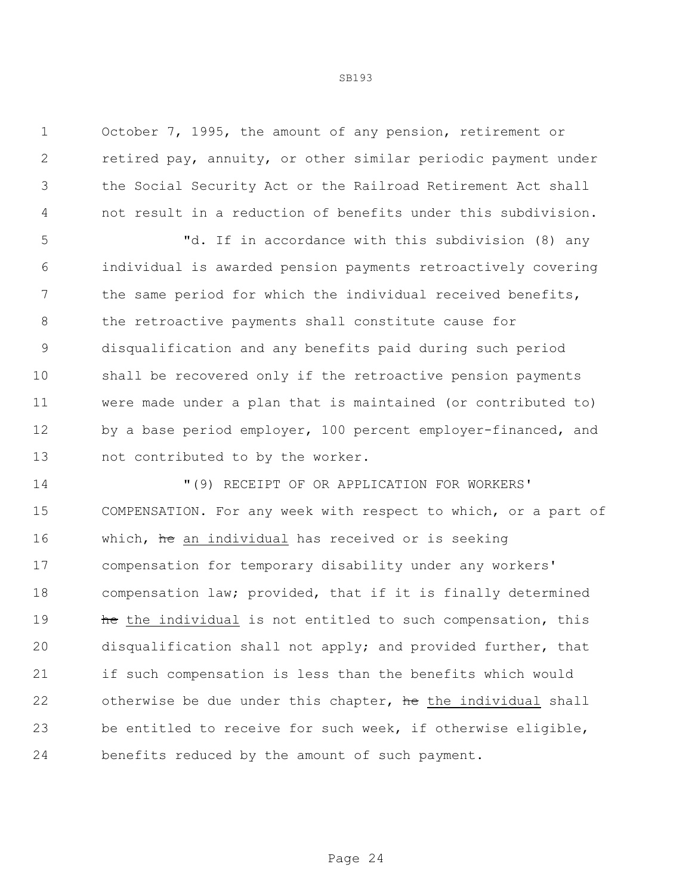October 7, 1995, the amount of any pension, retirement or retired pay, annuity, or other similar periodic payment under the Social Security Act or the Railroad Retirement Act shall not result in a reduction of benefits under this subdivision.

 "d. If in accordance with this subdivision (8) any individual is awarded pension payments retroactively covering the same period for which the individual received benefits, the retroactive payments shall constitute cause for disqualification and any benefits paid during such period shall be recovered only if the retroactive pension payments were made under a plan that is maintained (or contributed to) 12 by a base period employer, 100 percent employer-financed, and not contributed to by the worker.

 "(9) RECEIPT OF OR APPLICATION FOR WORKERS' COMPENSATION. For any week with respect to which, or a part of 16 which, he an individual has received or is seeking compensation for temporary disability under any workers' compensation law; provided, that if it is finally determined **he** the individual is not entitled to such compensation, this disqualification shall not apply; and provided further, that if such compensation is less than the benefits which would 22 otherwise be due under this chapter, he the individual shall be entitled to receive for such week, if otherwise eligible, benefits reduced by the amount of such payment.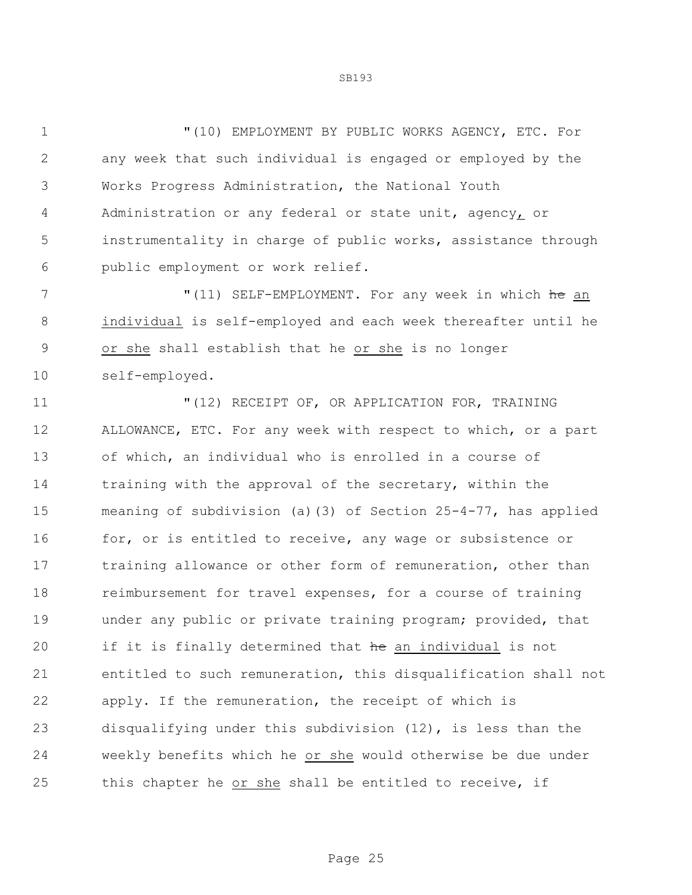"(10) EMPLOYMENT BY PUBLIC WORKS AGENCY, ETC. For any week that such individual is engaged or employed by the Works Progress Administration, the National Youth Administration or any federal or state unit, agency, or instrumentality in charge of public works, assistance through public employment or work relief.

7 The Mullim SELF-EMPLOYMENT. For any week in which he an individual is self-employed and each week thereafter until he or she shall establish that he or she is no longer self-employed.

**11 W**(12) RECEIPT OF, OR APPLICATION FOR, TRAINING ALLOWANCE, ETC. For any week with respect to which, or a part of which, an individual who is enrolled in a course of 14 training with the approval of the secretary, within the meaning of subdivision (a)(3) of Section 25-4-77, has applied 16 for, or is entitled to receive, any wage or subsistence or 17 training allowance or other form of remuneration, other than reimbursement for travel expenses, for a course of training under any public or private training program; provided, that 20 if it is finally determined that he an individual is not entitled to such remuneration, this disqualification shall not apply. If the remuneration, the receipt of which is disqualifying under this subdivision (12), is less than the weekly benefits which he or she would otherwise be due under 25 this chapter he or she shall be entitled to receive, if

Page 25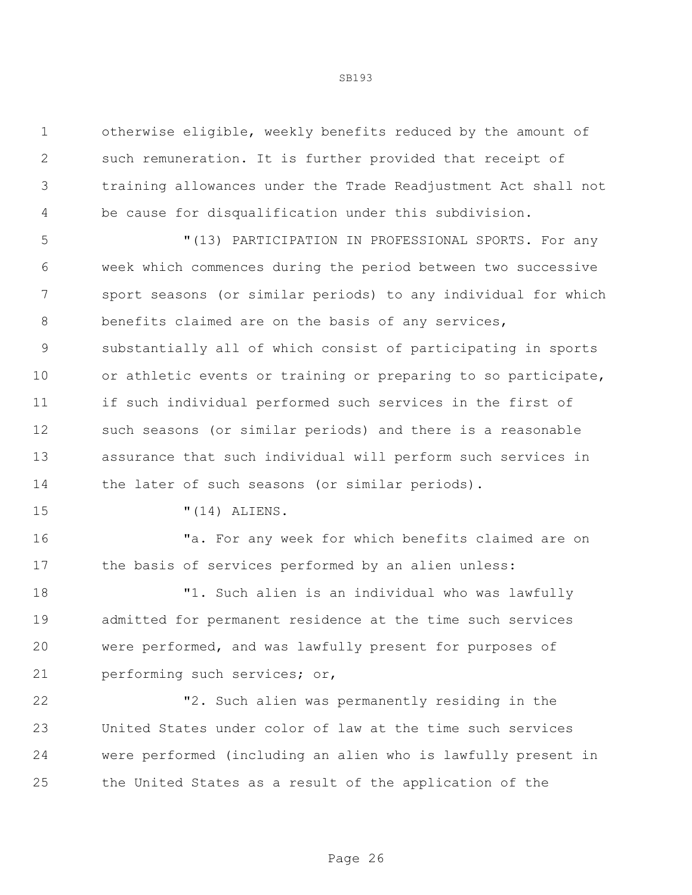otherwise eligible, weekly benefits reduced by the amount of such remuneration. It is further provided that receipt of training allowances under the Trade Readjustment Act shall not be cause for disqualification under this subdivision.

 "(13) PARTICIPATION IN PROFESSIONAL SPORTS. For any week which commences during the period between two successive sport seasons (or similar periods) to any individual for which benefits claimed are on the basis of any services, substantially all of which consist of participating in sports or athletic events or training or preparing to so participate, if such individual performed such services in the first of such seasons (or similar periods) and there is a reasonable assurance that such individual will perform such services in 14 the later of such seasons (or similar periods).

"(14) ALIENS.

16 The Matter of the Muscle of the Mich benefits claimed are on the basis of services performed by an alien unless:

 "1. Such alien is an individual who was lawfully admitted for permanent residence at the time such services were performed, and was lawfully present for purposes of performing such services; or,

 "2. Such alien was permanently residing in the United States under color of law at the time such services were performed (including an alien who is lawfully present in the United States as a result of the application of the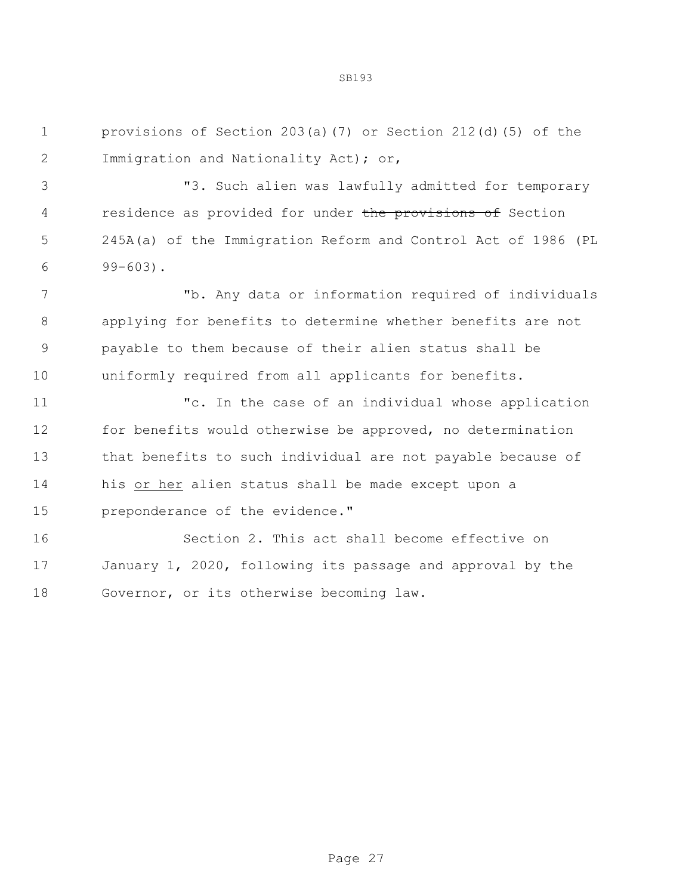provisions of Section 203(a)(7) or Section 212(d)(5) of the Immigration and Nationality Act); or,

 "3. Such alien was lawfully admitted for temporary 4 residence as provided for under the provisions of Section 245A(a) of the Immigration Reform and Control Act of 1986 (PL 99-603).

 "b. Any data or information required of individuals applying for benefits to determine whether benefits are not payable to them because of their alien status shall be uniformly required from all applicants for benefits.

 "c. In the case of an individual whose application for benefits would otherwise be approved, no determination that benefits to such individual are not payable because of his or her alien status shall be made except upon a preponderance of the evidence."

 Section 2. This act shall become effective on January 1, 2020, following its passage and approval by the Governor, or its otherwise becoming law.